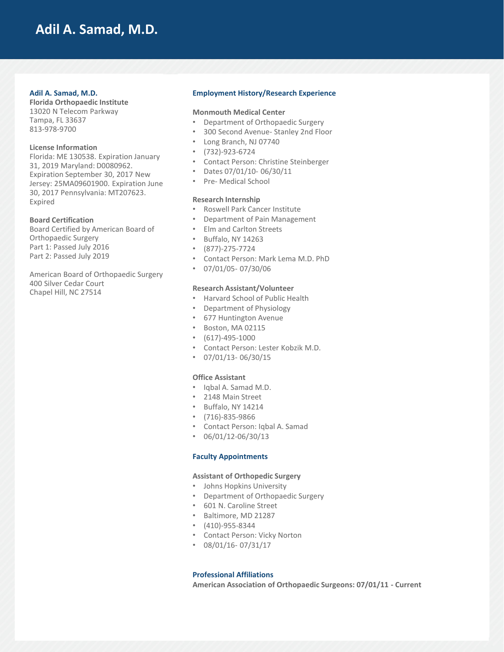## **Adil A. Samad, M.D.**

### **Adil A. Samad, M.D.**

**Florida Orthopaedic Institute** 13020 N Telecom Parkway Tampa, FL 33637 813-978-9700

### **License Information**

Florida: ME 130538. Expiration January 31, 2019 Maryland: D0080962. Expiration September 30, 2017 New Jersey: 25MA09601900. Expiration June 30, 2017 Pennsylvania: MT207623. Expired

### **Board Certification**

Board Certified by American Board of Orthopaedic Surgery Part 1: Passed July 2016 Part 2: Passed July 2019

American Board of Orthopaedic Surgery 400 Silver Cedar Court Chapel Hill, NC 27514

### **Employment History/Research Experience**

### **Monmouth Medical Center**

- Department of Orthopaedic Surgery
- 300 Second Avenue- Stanley 2nd Floor
- Long Branch, NJ 07740
- (732)-923-6724
- Contact Person: Christine Steinberger
- Dates 07/01/10- 06/30/11
- Pre- Medical School

## **Research Internship**

- Roswell Park Cancer Institute
- Department of Pain Management
- Elm and Carlton Streets
- Buffalo, NY 14263
- (877)-275-7724
- Contact Person: Mark Lema M.D. PhD
- 07/01/05- 07/30/06

#### **Research Assistant/Volunteer**

- Harvard School of Public Health
- Department of Physiology
- 677 Huntington Avenue
- Boston, MA 02115
- (617)-495-1000
- Contact Person: Lester Kobzik M.D.
- $\cdot$  07/01/13-06/30/15

#### **Office Assistant**

- Iqbal A. Samad M.D.
- 2148 Main Street
- Buffalo, NY 14214
- (716)-835-9866
- Contact Person: Iqbal A. Samad
- $\cdot$  06/01/12-06/30/13

## **Faculty Appointments**

### **Assistant of Orthopedic Surgery**

- Johns Hopkins University
- Department of Orthopaedic Surgery
- 601 N. Caroline Street
- Baltimore, MD 21287
- (410)-955-8344
- Contact Person: Vicky Norton
- 08/01/16- 07/31/17

## **Professional Affiliations**

**American Association of Orthopaedic Surgeons: 07/01/11 - Current**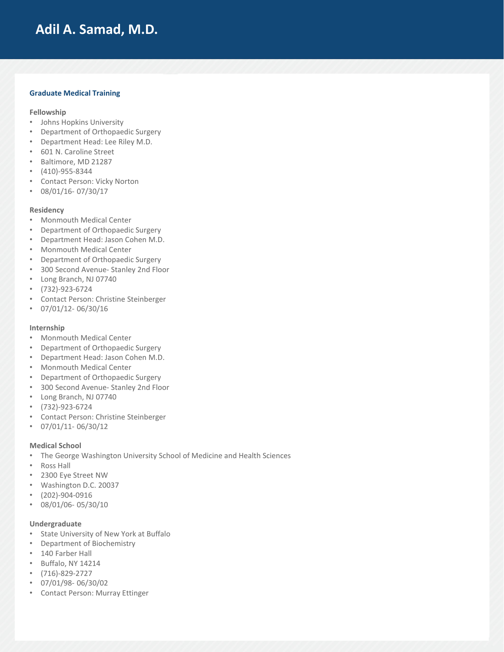# **Adil A. Samad, M.D.**

## **Graduate Medical Training**

### **Fellowship**

- Johns Hopkins University
- Department of Orthopaedic Surgery
- Department Head: Lee Riley M.D.
- 601 N. Caroline Street
- Baltimore, MD 21287
- (410)-955-8344
- Contact Person: Vicky Norton
- 08/01/16- 07/30/17

### **Residency**

- Monmouth Medical Center
- Department of Orthopaedic Surgery
- Department Head: Jason Cohen M.D.
- Monmouth Medical Center
- Department of Orthopaedic Surgery
- 300 Second Avenue- Stanley 2nd Floor
- Long Branch, NJ 07740
- (732)-923-6724
- Contact Person: Christine Steinberger
- 07/01/12- 06/30/16

### **Internship**

- Monmouth Medical Center
- Department of Orthopaedic Surgery
- Department Head: Jason Cohen M.D.
- Monmouth Medical Center
- Department of Orthopaedic Surgery
- 300 Second Avenue- Stanley 2nd Floor
- Long Branch, NJ 07740
- (732)-923-6724
- Contact Person: Christine Steinberger
- $\cdot$  07/01/11-06/30/12

## **Medical School**

- The George Washington University School of Medicine and Health Sciences
- Ross Hall
- 2300 Eye Street NW
- Washington D.C. 20037
- (202)-904-0916
- 08/01/06- 05/30/10

## **Undergraduate**

- State University of New York at Buffalo
- Department of Biochemistry
- 140 Farber Hall
- Buffalo, NY 14214
- (716)-829-2727
- 07/01/98- 06/30/02
- Contact Person: Murray Ettinger